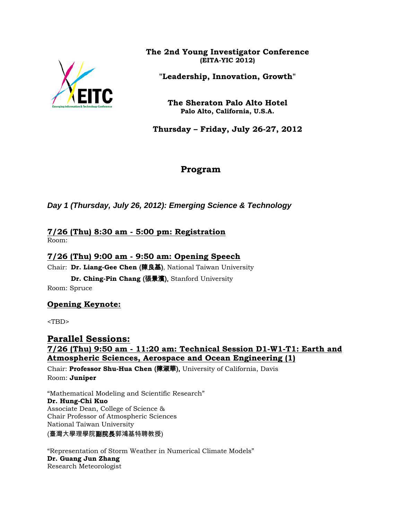

**The 2nd Young Investigator Conference (EITA-YIC 2012)**

**"Leadership, Innovation, Growth"**

**The Sheraton Palo Alto Hotel Palo Alto, California, U.S.A.**

**Thursday – Friday, July 26-27, 2012**

# **Program**

*Day 1 (Thursday, July 26, 2012): Emerging Science & Technology*

#### **7/26 (Thu) 8:30 am - 5:00 pm: Registration**  Room:

## **7/26 (Thu) 9:00 am - 9:50 am: Opening Speech**

Chair: **Dr. Liang-Gee Chen** (陳良基), National Taiwan University

**Dr. Ching-Pin Chang** (張景濱), Stanford University Room: Spruce

### **Opening Keynote:**

<TBD>

**Parallel Sessions: 7/26 (Thu) 9:50 am - 11:20 am: Technical Session D1-W1-T1: Earth and Atmospheric Sciences, Aerospace and Ocean Engineering (1)** Chair: **Professor Shu-Hua Chen** (陳淑華), University of California, Davis Room: **Juniper**

"Mathematical Modeling and Scientific Research" **Dr. Hung-Chi Kuo** Associate Dean, College of Science & Chair Professor of Atmospheric Sciences National Taiwan University

(臺灣大學理學院副院長郭鴻基特聘教授)

"Representation of Storm Weather in Numerical Climate Models" **Dr. Guang Jun Zhang** Research Meteorologist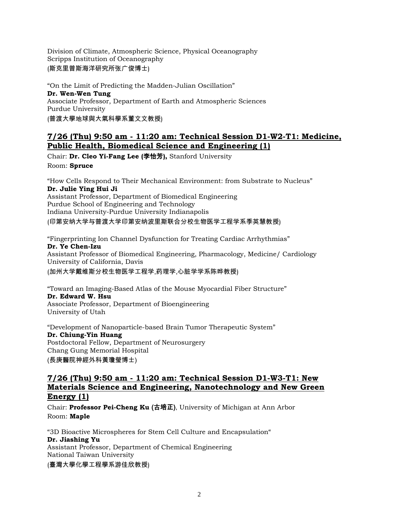Division of Climate, Atmospheric Science, Physical Oceanography Scripps Institution of Oceanography (斯克里普斯海洋研究所张广俊博士)

"On the Limit of Predicting the Madden-Julian Oscillation" **Dr. Wen-Wen Tung** Associate Professor, Department of Earth and Atmospheric Sciences Purdue University (普渡大學地球與大氣科學系董文文教授)

### **7/26 (Thu) 9:50 am - 11:20 am: Technical Session D1-W2-T1: Medicine, Public Health, Biomedical Science and Engineering (1)**

Chair: **Dr. Cleo Yi-Fang Lee (**李怡芳**),** Stanford University Room: **Spruce**

"How Cells Respond to Their Mechanical Environment: from Substrate to Nucleus" **Dr. Julie Ying Hui Ji** Assistant Professor, Department of Biomedical Engineering Purdue School of Engineering and Technology Indiana University-Purdue University Indianapolis (印第安纳大学与普渡大学印第安纳波里斯联合分校生物医学工程学系季英慧教授)

"Fingerprinting Ion Channel Dysfunction for Treating Cardiac Arrhythmias" **Dr. Ye Chen-Izu** Assistant Professor of Biomedical Engineering, Pharmacology, Medicine/ Cardiology University of California, Davis

(加州大学戴维斯分校生物医学工程学,药理学,心脏学学系陈晔教授)

"Toward an Imaging-Based Atlas of the Mouse Myocardial Fiber Structure" **Dr. Edward W. Hsu** Associate Professor, Department of Bioengineering

University of Utah

"Development of Nanoparticle-based Brain Tumor Therapeutic System" **Dr. Chiung-Yin Huang** Postdoctoral Fellow, Department of Neurosurgery Chang Gung Memorial Hospital (長庚醫院神經外科黃瓊瑩博士)

### **7/26 (Thu) 9:50 am - 11:20 am: Technical Session D1-W3-T1: New Materials Science and Engineering, Nanotechnology and New Green Energy (1)**

Chair: **Professor Pei-Cheng Ku** (古培正), University of Michigan at Ann Arbor Room: **Maple**

"3D Bioactive Microspheres for Stem Cell Culture and Encapsulation" **Dr. Jiashing Yu** Assistant Professor, Department of Chemical Engineering National Taiwan University

(臺灣大學化學工程學系游佳欣教授)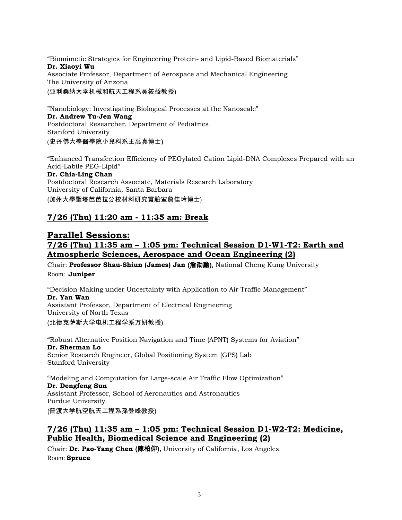"Biomimetic Strategies for Engineering Protein- and Lipid-Based Biomaterials" **Dr. Xiaoyi Wu** Associate Professor, Department of Aerospace and Mechanical Engineering The University of Arizona (亚利桑纳大学机械和航天工程系吴筱益教授)

"Nanobiology: Investigating Biological Processes at the Nanoscale" **Dr. Andrew Yu-Jen Wang** Postdoctoral Researcher, Department of Pediatrics Stanford University (史丹佛大學醫學院小兒科系王禹真博士)

"Enhanced Transfection Efficiency of PEGylated Cation Lipid-DNA Complexes Prepared with an Acid-Labile PEG-Lipid" **Dr. Chia-Ling Chan** Postdoctoral Research Associate, Materials Research Laboratory University of California, Santa Barbara

(加州大學聖塔芭芭拉分校材料研究實驗室詹佳玲博士)

### **7/26 (Thu) 11:20 am - 11:35 am: Break**

## **Parallel Sessions: 7/26 (Thu) 11:35 am – 1:05 pm: Technical Session D1-W1-T2: Earth and Atmospheric Sciences, Aerospace and Ocean Engineering (2)**

Chair: **Professor Shau-Shiun (James) Jan** (詹劭勳), National Cheng Kung University Room: **Juniper**

"Decision Making under Uncertainty with Application to Air Traffic Management" **Dr. Yan Wan** Assistant Professor, Department of Electrical Engineering University of North Texas (北德克萨斯大学电机工程学系万妍教授)

"Robust Alternative Position Navigation and Time (APNT) Systems for Aviation" **Dr. Sherman Lo** Senior Research Engineer, Global Positioning System (GPS) Lab Stanford University

"Modeling and Computation for Large-scale Air Traffic Flow Optimization" **Dr. Dengfeng Sun** Assistant Professor, School of Aeronautics and Astronautics Purdue University (普渡大学航空航天工程系孫登峰教授)

**7/26 (Thu) 11:35 am – 1:05 pm: Technical Session D1-W2-T2: Medicine, Public Health, Biomedical Science and Engineering (2)**

Chair: **Dr. Pao-Yang Chen** (陳柏仰), University of California, Los Angeles Room: **Spruce**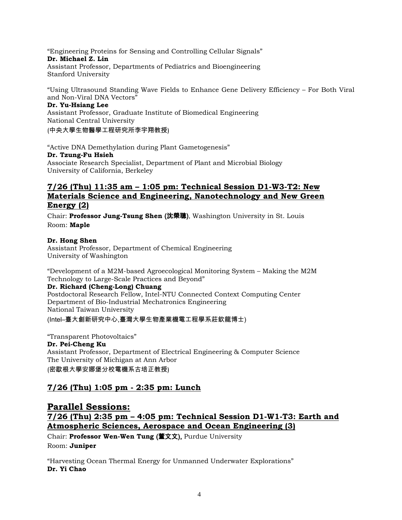"Engineering Proteins for Sensing and Controlling Cellular Signals"

#### **Dr. Michael Z. Lin**

Assistant Professor, Departments of Pediatrics and Bioengineering Stanford University

"Using Ultrasound Standing Wave Fields to Enhance Gene Delivery Efficiency – For Both Viral and Non-Viral DNA Vectors"

#### **Dr. Yu-Hsiang Lee**

Assistant Professor, Graduate Institute of Biomedical Engineering National Central University

(中央大學生物醫學工程研究所李宇翔教授)

"Active DNA Demethylation during Plant Gametogenesis" **Dr. Tzung-Fu Hsieh** Associate Research Specialist, Department of Plant and Microbial Biology University of California, Berkeley

### **7/26 (Thu) 11:35 am – 1:05 pm: Technical Session D1-W3-T2: New Materials Science and Engineering, Nanotechnology and New Green Energy (2)**

Chair: **Professor Jung-Tsung Shen** (沈榮聰), Washington University in St. Louis Room: **Maple**

#### **Dr. Hong Shen**

Assistant Professor, Department of Chemical Engineering University of Washington

"Development of a M2M-based Agroecological Monitoring System – Making the M2M Technology to Large-Scale Practices and Beyond"

#### **Dr. Richard (Cheng-Long) Chuang**

Postdoctoral Research Fellow, Intel-NTU Connected Context Computing Center Department of Bio-Industrial Mechatronics Engineering National Taiwan University

(Intel–臺大創新研究中心,臺灣大學生物產業機電工程學系莊欽龍博士)

"Transparent Photovoltaics"

#### **Dr. Pei-Cheng Ku**

Assistant Professor, Department of Electrical Engineering & Computer Science The University of Michigan at Ann Arbor (密歇根大學安娜堡分校電機系古培正教授)

### **7/26 (Thu) 1:05 pm - 2:35 pm: Lunch**

# **Parallel Sessions: 7/26 (Thu) 2:35 pm – 4:05 pm: Technical Session D1-W1-T3: Earth and Atmospheric Sciences, Aerospace and Ocean Engineering (3)**

Chair: **Professor Wen-Wen Tung** (董文文), Purdue University Room: **Juniper**

"Harvesting Ocean Thermal Energy for Unmanned Underwater Explorations" **Dr. Yi Chao**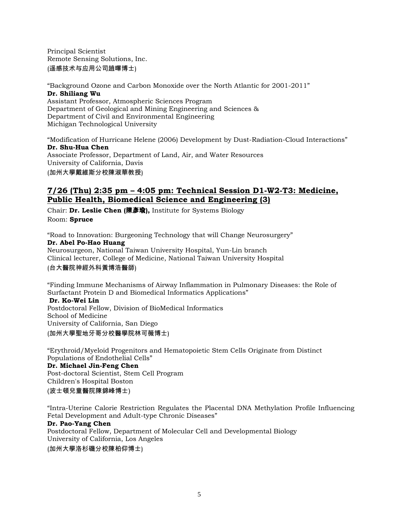Principal Scientist Remote Sensing Solutions, Inc. (遥感技术与应用公司趙曎博士)

"Background Ozone and Carbon Monoxide over the North Atlantic for 2001-2011" **Dr. Shiliang Wu** Assistant Professor, Atmospheric Sciences Program

Department of Geological and Mining Engineering and Sciences & Department of Civil and Environmental Engineering Michigan Technological University

"Modification of Hurricane Helene (2006) Development by Dust-Radiation-Cloud Interactions" **Dr. Shu-Hua Chen** Associate Professor, Department of Land, Air, and Water Resources University of California, Davis (加州大學戴維斯分校陳淑華教授)

### **7/26 (Thu) 2:35 pm – 4:05 pm: Technical Session D1-W2-T3: Medicine, Public Health, Biomedical Science and Engineering (3)**

Chair: **Dr. Leslie Chen (**陳彥瑜**),** Institute for Systems Biology Room: **Spruce**

"Road to Innovation: Burgeoning Technology that will Change Neurosurgery" **Dr. Abel Po-Hao Huang** Neurosurgeon, National Taiwan University Hospital, Yun-Lin branch Clinical lecturer, College of Medicine, National Taiwan University Hospital (台大醫院神經外科黃博浩醫師)

"Finding Immune Mechanisms of Airway Inflammation in Pulmonary Diseases: the Role of Surfactant Protein D and Biomedical Informatics Applications"

**Dr. Ko-Wei Lin** Postdoctoral Fellow, Division of BioMedical Informatics School of Medicine University of California, San Diego (加州大學聖地牙哥分校醫學院林可薇博士)

"Erythroid/Myeloid Progenitors and Hematopoietic Stem Cells Originate from Distinct Populations of Endothelial Cells" **Dr. Michael Jin-Feng Chen** Post-doctoral Scientist, Stem Cell Program Children's Hospital Boston

### (波士頓兒童醫院陳錦峰博士)

"Intra-Uterine Calorie Restriction Regulates the Placental DNA Methylation Profile Influencing Fetal Development and Adult-type Chronic Diseases"

#### **Dr. Pao-Yang Chen**

Postdoctoral Fellow, Department of Molecular Cell and Developmental Biology University of California, Los Angeles

(加州大學洛杉磯分校陳柏仰博士)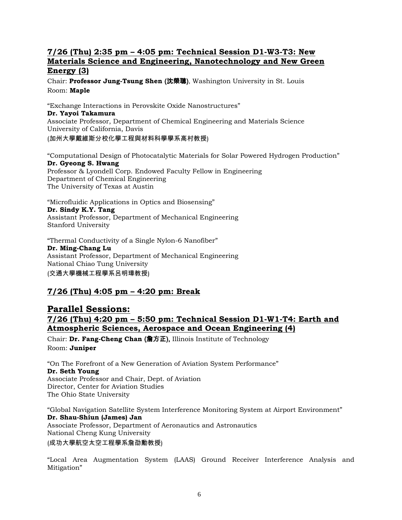### **7/26 (Thu) 2:35 pm – 4:05 pm: Technical Session D1-W3-T3: New Materials Science and Engineering, Nanotechnology and New Green Energy (3)**

Chair: **Professor Jung-Tsung Shen** (沈榮聰), Washington University in St. Louis Room: **Maple**

"Exchange Interactions in Perovskite Oxide Nanostructures" **Dr. Yayoi Takamura** Associate Professor, Department of Chemical Engineering and Materials Science University of California, Davis (加州大學戴維斯分校化學工程與材料科學學系高村教授)

"Computational Design of Photocatalytic Materials for Solar Powered Hydrogen Production" **Dr. Gyeong S. Hwang** Professor & Lyondell Corp. Endowed Faculty Fellow in Engineering Department of Chemical Engineering The University of Texas at Austin

"Microfluidic Applications in Optics and Biosensing" **Dr. Sindy K.Y. Tang** Assistant Professor, Department of Mechanical Engineering Stanford University

"Thermal Conductivity of a Single Nylon-6 Nanofiber" **Dr. Ming-Chang Lu** Assistant Professor, Department of Mechanical Engineering National Chiao Tung University (交通大學機械工程學系呂明璋教授)

## **7/26 (Thu) 4:05 pm – 4:20 pm: Break**

### **Parallel Sessions: 7/26 (Thu) 4:20 pm – 5:50 pm: Technical Session D1-W1-T4: Earth and Atmospheric Sciences, Aerospace and Ocean Engineering (4)**

Chair: **Dr. Fang-Cheng Chan** (詹方正), Illinois Institute of Technology Room: **Juniper**

"On The Forefront of a New Generation of Aviation System Performance" **Dr. Seth Young** Associate Professor and Chair, Dept. of Aviation Director, Center for Aviation Studies The Ohio State University

"Global Navigation Satellite System Interference Monitoring System at Airport Environment" **Dr. Shau-Shiun (James) Jan** Associate Professor, Department of Aeronautics and Astronautics National Cheng Kung University (成功大學航空太空工程學系詹劭勳教授)

"Local Area Augmentation System (LAAS) Ground Receiver Interference Analysis and Mitigation"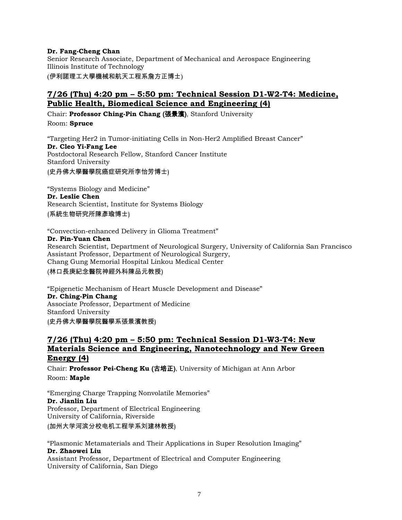#### **Dr. Fang-Cheng Chan**

Senior Research Associate, Department of Mechanical and Aerospace Engineering Illinois Institute of Technology (伊利諾理工大學機械和航天工程系詹方正博士)

### **7/26 (Thu) 4:20 pm – 5:50 pm: Technical Session D1-W2-T4: Medicine, Public Health, Biomedical Science and Engineering (4)**

Chair: **Professor Ching-Pin Chang** (張景濱), Stanford University Room: **Spruce**

"Targeting Her2 in Tumor-initiating Cells in Non-Her2 Amplified Breast Cancer" **Dr. Cleo Yi-Fang Lee** Postdoctoral Research Fellow, Stanford Cancer Institute Stanford University

(史丹佛大學醫學院癌症研究所李怡芳博士)

"Systems Biology and Medicine" **Dr. Leslie Chen** Research Scientist, Institute for Systems Biology (系統生物研究所陳彥瑜博士)

"Convection-enhanced Delivery in Glioma Treatment"

#### **Dr. Pin-Yuan Chen**

Research Scientist, Department of Neurological Surgery, University of California San Francisco Assistant Professor, Department of Neurological Surgery, Chang Gung Memorial Hospital Linkou Medical Center

(林口長庚紀念醫院神經外科陳品元教授)

"Epigenetic Mechanism of Heart Muscle Development and Disease" **Dr. Ching-Pin Chang**  Associate Professor, Department of Medicine Stanford University (史丹佛大學醫學院醫學系張景濱教授)

### **7/26 (Thu) 4:20 pm – 5:50 pm: Technical Session D1-W3-T4: New Materials Science and Engineering, Nanotechnology and New Green Energy (4)**

Chair: **Professor Pei-Cheng Ku** (古培正), University of Michigan at Ann Arbor Room: **Maple**

"Emerging Charge Trapping Nonvolatile Memories" **Dr. Jianlin Liu** Professor, Department of Electrical Engineering University of California, Riverside (加州大学河滨分校电机工程学系刘建林教授)

"Plasmonic Metamaterials and Their Applications in Super Resolution Imaging" **Dr. Zhaowei Liu**

Assistant Professor, Department of Electrical and Computer Engineering University of California, San Diego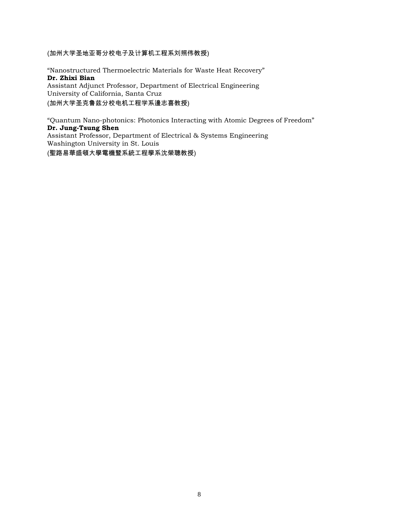(加州大学圣地亚哥分校电子及计算机工程系刘照伟教授)

"Nanostructured Thermoelectric Materials for Waste Heat Recovery" **Dr. Zhixi Bian** Assistant Adjunct Professor, Department of Electrical Engineering University of California, Santa Cruz (加州大学圣克鲁兹分校电机工程学系邊志喜教授)

"Quantum Nano-photonics: Photonics Interacting with Atomic Degrees of Freedom" **Dr. Jung-Tsung Shen** Assistant Professor, Department of Electrical & Systems Engineering Washington University in St. Louis

(聖路易華盛頓大學電機暨系統工程學系沈榮聰教授)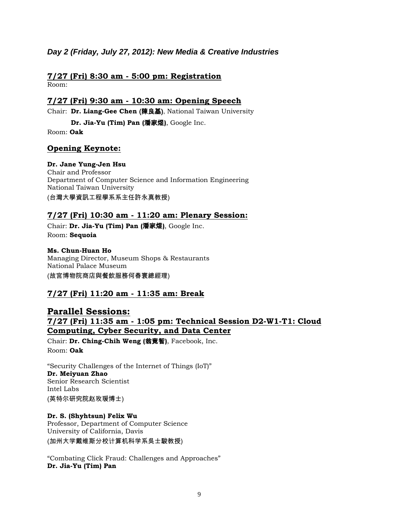### *Day 2 (Friday, July 27, 2012): New Media & Creative Industries*

#### **7/27 (Fri) 8:30 am - 5:00 pm: Registration**  Room:

### **7/27 (Fri) 9:30 am - 10:30 am: Opening Speech**

Chair: **Dr. Liang-Gee Chen** (陳良基), National Taiwan University

**Dr. Jia-Yu (Tim) Pan (**潘家煜**)**, Google Inc.

Room: **Oak**

### **Opening Keynote:**

### **Dr. Jane Yung-Jen Hsu**

Chair and Professor Department of Computer Science and Information Engineering National Taiwan University (台灣大學資訊工程學系系主任許永真教授)

### **7/27 (Fri) 10:30 am - 11:20 am: Plenary Session:**

Chair: **Dr. Jia-Yu (Tim) Pan (**潘家煜**)**, Google Inc. Room: **Sequoia**

#### **Ms. Chun-Huan Ho**

Managing Director, Museum Shops & Restaurants National Palace Museum (故宮博物院商店與餐飲服務何春寰總經理)

## **7/27 (Fri) 11:20 am - 11:35 am: Break**

## **Parallel Sessions: 7/27 (Fri) 11:35 am - 1:05 pm: Technical Session D2-W1-T1: Cloud Computing, Cyber Security, and Data Center**

Chair: **Dr. Ching-Chih Weng (**翁竟智**)**, Facebook, Inc. Room: **Oak**

"Security Challenges of the Internet of Things (IoT)" **Dr. Meiyuan Zhao** Senior Research Scientist Intel Labs (英特尔研究院赵玫瑗博士)

## **Dr. S. (Shyhtsun) Felix Wu**

Professor, Department of Computer Science University of California, Davis (加州大学戴维斯分校计算机科学系吳士駿教授)

"Combating Click Fraud: Challenges and Approaches" **Dr. Jia-Yu (Tim) Pan**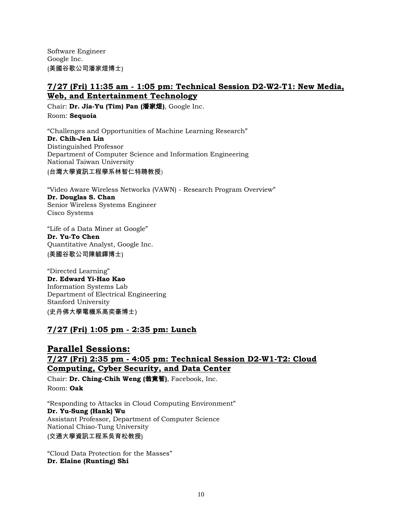Software Engineer Google Inc. (美國谷歌公司潘家煜博士)

### **7/27 (Fri) 11:35 am - 1:05 pm: Technical Session D2-W2-T1: New Media, Web, and Entertainment Technology**

Chair: **Dr. Jia-Yu (Tim) Pan (**潘家煜**)**, Google Inc. Room: **Sequoia**

"Challenges and Opportunities of Machine Learning Research" **Dr. Chih-Jen Lin** Distinguished Professor Department of Computer Science and Information Engineering National Taiwan University

(台灣大學資訊工程學系林智仁特聘教授)

"Video Aware Wireless Networks (VAWN) - Research Program Overview" **Dr. Douglas S. Chan** Senior Wireless Systems Engineer Cisco Systems

"Life of a Data Miner at Google" **Dr. Yu-To Chen** Quantitative Analyst, Google Inc. (美國谷歌公司陳毓鐸博士)

"Directed Learning" **Dr. Edward Yi-Hao Kao** Information Systems Lab Department of Electrical Engineering Stanford University (史丹佛大學電機系高奕豪博士)

## **7/27 (Fri) 1:05 pm - 2:35 pm: Lunch**

## **Parallel Sessions: 7/27 (Fri) 2:35 pm - 4:05 pm: Technical Session D2-W1-T2: Cloud Computing, Cyber Security, and Data Center**

Chair: **Dr. Ching-Chih Weng (**翁竟智**)**, Facebook, Inc. Room: **Oak**

"Responding to Attacks in Cloud Computing Environment" **Dr. Yu-Sung (Hank) Wu** Assistant Professor, Department of Computer Science National Chiao-Tung University (交通大學資訊工程系吳育松教授)

"Cloud Data Protection for the Masses" **Dr. Elaine (Runting) Shi**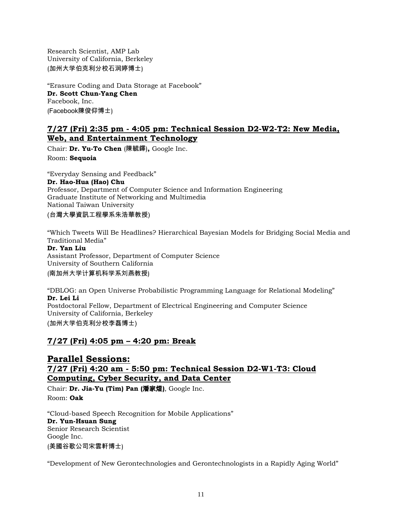Research Scientist, AMP Lab University of California, Berkeley (加州大学伯克利分校石润婷博士)

"Erasure Coding and Data Storage at Facebook" **Dr. Scott Chun-Yang Chen** Facebook, Inc. (Facebook陳俊仰博士)

### **7/27 (Fri) 2:35 pm - 4:05 pm: Technical Session D2-W2-T2: New Media, Web, and Entertainment Technology**

Chair: **Dr. Yu-To Chen** (陳毓鐸)**,** Google Inc. Room: **Sequoia**

"Everyday Sensing and Feedback" **Dr. Hao-Hua (Hao) Chu** Professor, Department of Computer Science and Information Engineering Graduate Institute of Networking and Multimedia National Taiwan University

(台灣大學資訊工程學系朱浩華教授)

"Which Tweets Will Be Headlines? Hierarchical Bayesian Models for Bridging Social Media and Traditional Media"

#### **Dr. Yan Liu**

Assistant Professor, Department of Computer Science University of Southern California (南加州大学计算机科学系刘燕教授)

"DBLOG: an Open Universe Probabilistic Programming Language for Relational Modeling" **Dr. Lei Li** Postdoctoral Fellow, Department of Electrical Engineering and Computer Science University of California, Berkeley (加州大学伯克利分校李磊博士)

### **7/27 (Fri) 4:05 pm – 4:20 pm: Break**

### **Parallel Sessions:**

### **7/27 (Fri) 4:20 am - 5:50 pm: Technical Session D2-W1-T3: Cloud Computing, Cyber Security, and Data Center**

Chair: **Dr. Jia-Yu (Tim) Pan (**潘家煜**)**, Google Inc. Room: **Oak**

"Cloud-based Speech Recognition for Mobile Applications" **Dr. Yun-Hsuan Sung** Senior Research Scientist Google Inc. (美國谷歌公司宋雲軒博士)

"Development of New Gerontechnologies and Gerontechnologists in a Rapidly Aging World"